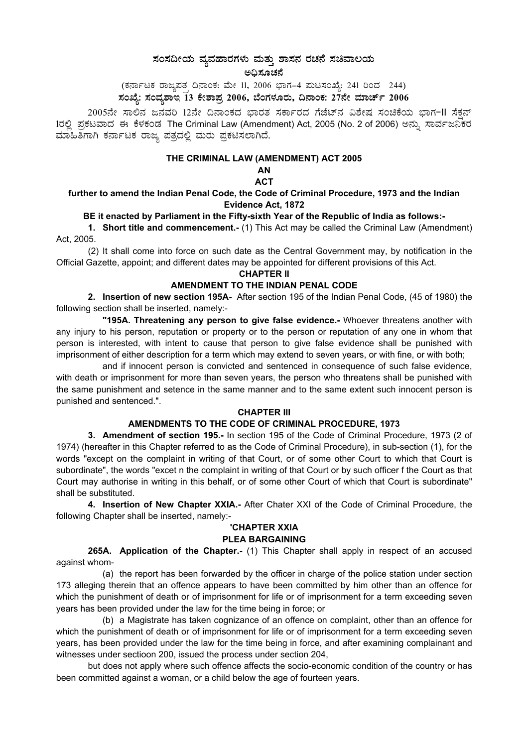# ಸಂಸದೀಯ ವ್ಯವಹಾರಗಳು ಮತ್ತು ಶಾಸನ ರಚನೆ ಸಚಿವಾಲಯ

ಅಧಿಸೂಚನೆ

(ಕರ್ನಾಟಕ ರಾಜ್ಯಪತ<sub>,</sub> ದಿನಾಂಕ: ಮೇ 11, 2006 ಭಾಗ–4 ಮಟಸಂಖ್ಯೆ: 241 ರಿಂದ 244)

## ಸಂಖ್ಯೆ: ಸಂವ್ಯಶಾಇ 13 ಕೇಶಾಪ್ರ 2006, ಬೆಂಗಳೂರು, ದಿನಾಂಕ: 27ನೇ ಮಾರ್ಚ್ 2006

2005ನೇ ಸಾಲಿನ ಜನವರಿ 12ನೇ ದಿನಾಂಕದ ಭಾರತ ಸರ್ಕಾರದ ಗೆಜೆಟ್ನ ವಿಶೇಷ ಸಂಚಿಕೆಯ ಭಾಗ-II ಸೆಕ್ಷನ್ 1ರಲ್ಲಿ ಪ್ರಕಟವಾದ ಈ ಕೆಳಕಂಡ The Criminal Law (Amendment) Act, 2005 (No. 2 of 2006) ಅನ್ಸು ಸಾರ್ವಜನಿಕರ ಮಾಹಿತಿಗಾಗಿ ಕರ್ನಾಟಕ ರಾಜ್ಯ ಪತ್ರದಲ್ಲಿ ಮರು ಪ್ರಕಟಿಸಲಾಗಿದೆ.

#### **THE CRIMINAL LAW (AMENDMENT) ACT 2005**

## **AN**

**ACT** 

**further to amend the Indian Penal Code, the Code of Criminal Procedure, 1973 and the Indian Evidence Act, 1872** 

#### **BE it enacted by Parliament in the Fifty-sixth Year of the Republic of India as follows:-**

**1. Short title and commencement.-** (1) This Act may be called the Criminal Law (Amendment) Act, 2005.

(2) It shall come into force on such date as the Central Government may, by notification in the Official Gazette, appoint; and different dates may be appointed for different provisions of this Act.

#### **CHAPTER II**

#### **AMENDMENT TO THE INDIAN PENAL CODE**

**2. Insertion of new section 195A-** After section 195 of the Indian Penal Code, (45 of 1980) the following section shall be inserted, namely:-

 **"195A. Threatening any person to give false evidence.-** Whoever threatens another with any injury to his person, reputation or property or to the person or reputation of any one in whom that person is interested, with intent to cause that person to give false evidence shall be punished with imprisonment of either description for a term which may extend to seven years, or with fine, or with both;

and if innocent person is convicted and sentenced in consequence of such false evidence, with death or imprisonment for more than seven years, the person who threatens shall be punished with the same punishment and setence in the same manner and to the same extent such innocent person is punished and sentenced.".

#### **CHAPTER III**

#### **AMENDMENTS TO THE CODE OF CRIMINAL PROCEDURE, 1973**

**3. Amendment of section 195.-** In section 195 of the Code of Criminal Procedure, 1973 (2 of 1974) (hereafter in this Chapter referred to as the Code of Criminal Procedure), in sub-section (1), for the words "except on the complaint in writing of that Court, or of some other Court to which that Court is subordinate", the words "excet n the complaint in writing of that Court or by such officer f the Court as that Court may authorise in writing in this behalf, or of some other Court of which that Court is subordinate" shall be substituted.

**4. Insertion of New Chapter XXIA.-** After Chater XXI of the Code of Criminal Procedure, the following Chapter shall be inserted, namely:-

#### **'CHAPTER XXIA PLEA BARGAINING**

**265A. Application of the Chapter.-** (1) This Chapter shall apply in respect of an accused against whom-

(a) the report has been forwarded by the officer in charge of the police station under section 173 alleging therein that an offence appears to have been committed by him other than an offence for which the punishment of death or of imprisonment for life or of imprisonment for a term exceeding seven years has been provided under the law for the time being in force; or

(b) a Magistrate has taken cognizance of an offence on complaint, other than an offence for which the punishment of death or of imprisonment for life or of imprisonment for a term exceeding seven years, has been provided under the law for the time being in force, and after examining complainant and witnesses under sectioon 200, issued the process under section 204,

but does not apply where such offence affects the socio-economic condition of the country or has been committed against a woman, or a child below the age of fourteen years.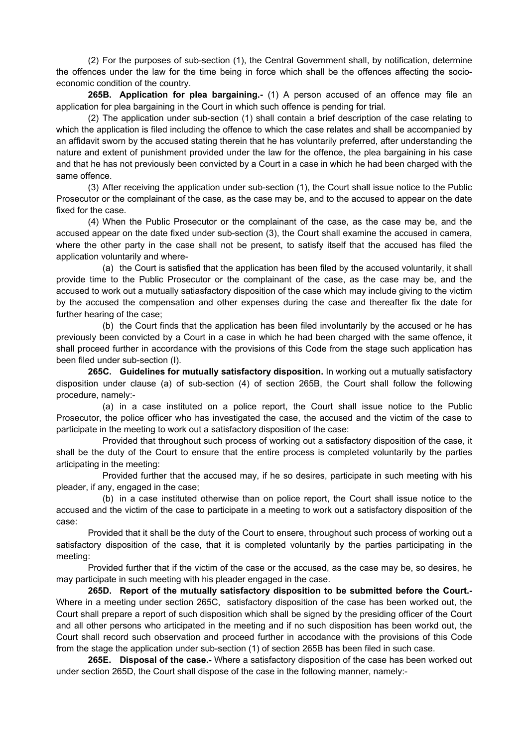(2) For the purposes of sub-section (1), the Central Government shall, by notification, determine the offences under the law for the time being in force which shall be the offences affecting the socioeconomic condition of the country.

**265B. Application for plea bargaining.-** (1) A person accused of an offence may file an application for plea bargaining in the Court in which such offence is pending for trial.

(2) The application under sub-section (1) shall contain a brief description of the case relating to which the application is filed including the offence to which the case relates and shall be accompanied by an affidavit sworn by the accused stating therein that he has voluntarily preferred, after understanding the nature and extent of punishment provided under the law for the offence, the plea bargaining in his case and that he has not previously been convicted by a Court in a case in which he had been charged with the same offence.

(3) After receiving the application under sub-section (1), the Court shall issue notice to the Public Prosecutor or the complainant of the case, as the case may be, and to the accused to appear on the date fixed for the case.

(4) When the Public Prosecutor or the complainant of the case, as the case may be, and the accused appear on the date fixed under sub-section (3), the Court shall examine the accused in camera, where the other party in the case shall not be present, to satisfy itself that the accused has filed the application voluntarily and where-

(a) the Court is satisfied that the application has been filed by the accused voluntarily, it shall provide time to the Public Prosecutor or the complainant of the case, as the case may be, and the accused to work out a mutually satiasfactory disposition of the case which may include giving to the victim by the accused the compensation and other expenses during the case and thereafter fix the date for further hearing of the case;

(b) the Court finds that the application has been filed involuntarily by the accused or he has previously been convicted by a Court in a case in which he had been charged with the same offence, it shall proceed further in accordance with the provisions of this Code from the stage such application has been filed under sub-section (I).

**265C. Guidelines for mutually satisfactory disposition.** In working out a mutually satisfactory disposition under clause (a) of sub-section (4) of section 265B, the Court shall follow the following procedure, namely:-

(a) in a case instituted on a police report, the Court shall issue notice to the Public Prosecutor, the police officer who has investigated the case, the accused and the victim of the case to participate in the meeting to work out a satisfactory disposition of the case:

Provided that throughout such process of working out a satisfactory disposition of the case, it shall be the duty of the Court to ensure that the entire process is completed voluntarily by the parties articipating in the meeting:

Provided further that the accused may, if he so desires, participate in such meeting with his pleader, if any, engaged in the case;

(b) in a case instituted otherwise than on police report, the Court shall issue notice to the accused and the victim of the case to participate in a meeting to work out a satisfactory disposition of the case:

Provided that it shall be the duty of the Court to ensere, throughout such process of working out a satisfactory disposition of the case, that it is completed voluntarily by the parties participating in the meeting:

Provided further that if the victim of the case or the accused, as the case may be, so desires, he may participate in such meeting with his pleader engaged in the case.

**265D. Report of the mutually satisfactory disposition to be submitted before the Court.-** Where in a meeting under section 265C, satisfactory disposition of the case has been worked out, the Court shall prepare a report of such disposition which shall be signed by the presiding officer of the Court and all other persons who articipated in the meeting and if no such disposition has been workd out, the Court shall record such observation and proceed further in accodance with the provisions of this Code from the stage the application under sub-section (1) of section 265B has been filed in such case.

**265E. Disposal of the case.-** Where a satisfactory disposition of the case has been worked out under section 265D, the Court shall dispose of the case in the following manner, namely:-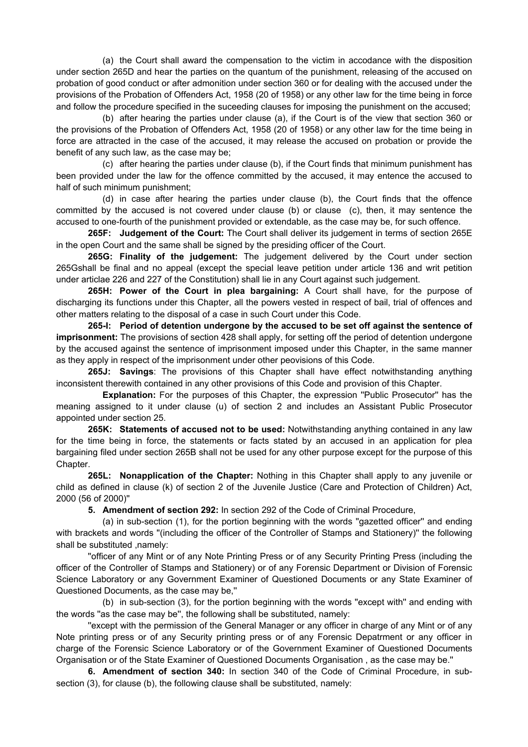(a) the Court shall award the compensation to the victim in accodance with the disposition under section 265D and hear the parties on the quantum of the punishment, releasing of the accused on probation of good conduct or after admonition under section 360 or for dealing with the accused under the provisions of the Probation of Offenders Act, 1958 (20 of 1958) or any other law for the time being in force and follow the procedure specified in the suceeding clauses for imposing the punishment on the accused;

(b) after hearing the parties under clause (a), if the Court is of the view that section 360 or the provisions of the Probation of Offenders Act, 1958 (20 of 1958) or any other law for the time being in force are attracted in the case of the accused, it may release the accused on probation or provide the benefit of any such law, as the case may be;

(c) after hearing the parties under clause (b), if the Court finds that minimum punishment has been provided under the law for the offence committed by the accused, it may entence the accused to half of such minimum punishment;

(d) in case after hearing the parties under clause (b), the Court finds that the offence committed by the accused is not covered under clause (b) or clause (c), then, it may sentence the accused to one-fourth of the punishment provided or extendable, as the case may be, for such offence.

**265F: Judgement of the Court:** The Court shall deliver its judgement in terms of section 265E in the open Court and the same shall be signed by the presiding officer of the Court.

**265G: Finality of the judgement:** The judgement delivered by the Court under section 265Gshall be final and no appeal (except the special leave petition under article 136 and writ petition under articlae 226 and 227 of the Constitution) shall lie in any Court against such judgement.

**265H: Power of the Court in plea bargaining:** A Court shall have, for the purpose of discharging its functions under this Chapter, all the powers vested in respect of bail, trial of offences and other matters relating to the disposal of a case in such Court under this Code.

**265-I: Period of detention undergone by the accused to be set off against the sentence of imprisonment:** The provisions of section 428 shall apply, for setting off the period of detention undergone by the accused against the sentence of imprisonment imposed under this Chapter, in the same manner as they apply in respect of the imprisonment under other peovisions of this Code.

**265J: Savings**: The provisions of this Chapter shall have effect notwithstanding anything inconsistent therewith contained in any other provisions of this Code and provision of this Chapter.

**Explanation:** For the purposes of this Chapter, the expression "Public Prosecutor" has the meaning assigned to it under clause (u) of section 2 and includes an Assistant Public Prosecutor appointed under section 25.

**265K: Statements of accused not to be used:** Notwithstanding anything contained in any law for the time being in force, the statements or facts stated by an accused in an application for plea bargaining filed under section 265B shall not be used for any other purpose except for the purpose of this Chapter.

**265L: Nonapplication of the Chapter:** Nothing in this Chapter shall apply to any juvenile or child as defined in clause (k) of section 2 of the Juvenile Justice (Care and Protection of Children) Act, 2000 (56 of 2000)''

**5. Amendment of section 292:** In section 292 of the Code of Criminal Procedure,

(a) in sub-section (1), for the portion beginning with the words ''gazetted officer'' and ending with brackets and words ''(including the officer of the Controller of Stamps and Stationery)'' the following shall be substituted ,namely:

''officer of any Mint or of any Note Printing Press or of any Security Printing Press (including the officer of the Controller of Stamps and Stationery) or of any Forensic Department or Division of Forensic Science Laboratory or any Government Examiner of Questioned Documents or any State Examiner of Questioned Documents, as the case may be,''

(b) in sub-section (3), for the portion beginning with the words ''except with'' and ending with the words ''as the case may be'', the following shall be substituted, namely:

"except with the permission of the General Manager or any officer in charge of any Mint or of any Note printing press or of any Security printing press or of any Forensic Depatrment or any officer in charge of the Forensic Science Laboratory or of the Government Examiner of Questioned Documents Organisation or of the State Examiner of Questioned Documents Organisation , as the case may be.''

**6. Amendment of section 340:** In section 340 of the Code of Criminal Procedure, in subsection (3), for clause (b), the following clause shall be substituted, namely: